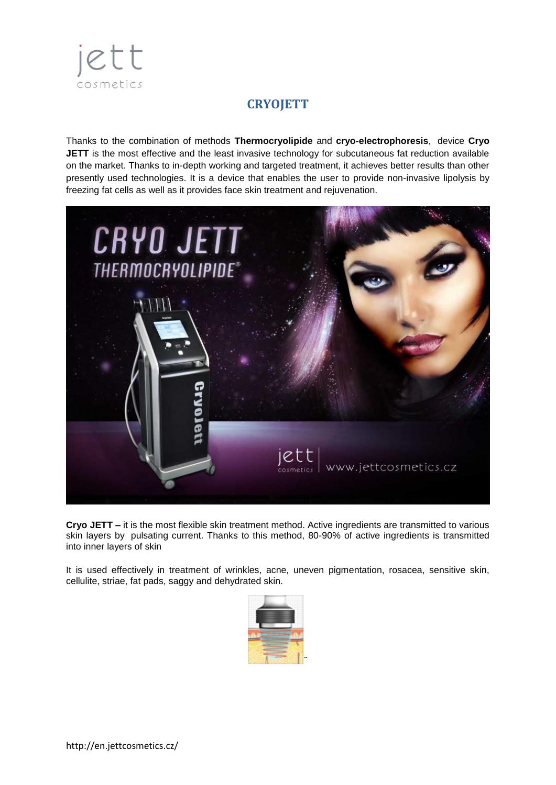

# **CRYOJETT**

Thanks to the combination of methods **Thermocryolipide** and **cryo-electrophoresis**, device **Cryo JETT** is the most effective and the least invasive technology for subcutaneous fat reduction available on the market. Thanks to in-depth working and targeted treatment, it achieves better results than other presently used technologies. It is a device that enables the user to provide non-invasive lipolysis by freezing fat cells as well as it provides face skin treatment and rejuvenation.



**Cryo JETT –** it is the most flexible skin treatment method. Active ingredients are transmitted to various skin layers by pulsating current. Thanks to this method, 80-90% of active ingredients is transmitted into inner layers of skin

It is used effectively in treatment of wrinkles, acne, uneven pigmentation, rosacea, sensitive skin, cellulite, striae, fat pads, saggy and dehydrated skin.

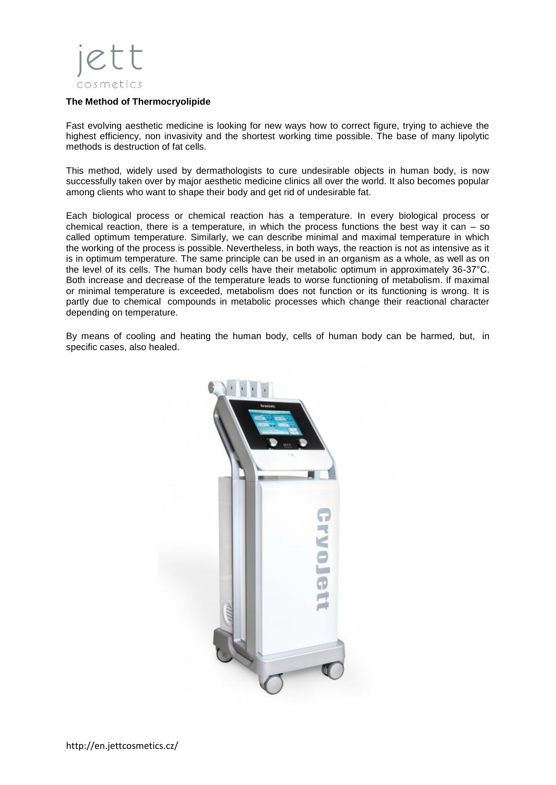

#### **The Method of Thermocryolipide**

Fast evolving aesthetic medicine is looking for new ways how to correct figure, trying to achieve the highest efficiency, non invasivity and the shortest working time possible. The base of many lipolytic methods is destruction of fat cells.

This method, widely used by dermathologists to cure undesirable objects in human body, is now successfully taken over by major aesthetic medicine clinics all over the world. It also becomes popular among clients who want to shape their body and get rid of undesirable fat.

Each biological process or chemical reaction has a temperature. In every biological process or chemical reaction, there is a temperature, in which the process functions the best way it can  $-$  so called optimum temperature. Similarly, we can describe minimal and maximal temperature in which the working of the process is possible. Nevertheless, in both ways, the reaction is not as intensive as it is in optimum temperature. The same principle can be used in an organism as a whole, as well as on the level of its cells. The human body cells have their metabolic optimum in approximately 36-37°C. Both increase and decrease of the temperature leads to worse functioning of metabolism. If maximal or minimal temperature is exceeded, metabolism does not function or its functioning is wrong. It is partly due to chemical compounds in metabolic processes which change their reactional character depending on temperature.

By means of cooling and heating the human body, cells of human body can be harmed, but, in specific cases, also healed.

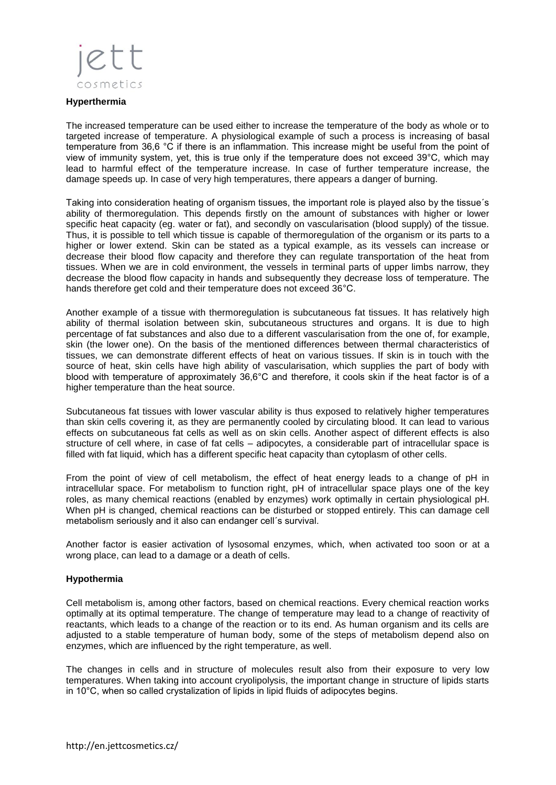

#### **Hyperthermia**

The increased temperature can be used either to increase the temperature of the body as whole or to targeted increase of temperature. A physiological example of such a process is increasing of basal temperature from 36,6 °C if there is an inflammation. This increase might be useful from the point of view of immunity system, yet, this is true only if the temperature does not exceed 39°C, which may lead to harmful effect of the temperature increase. In case of further temperature increase, the damage speeds up. In case of very high temperatures, there appears a danger of burning.

Taking into consideration heating of organism tissues, the important role is played also by the tissue´s ability of thermoregulation. This depends firstly on the amount of substances with higher or lower specific heat capacity (eg. water or fat), and secondly on vascularisation (blood supply) of the tissue. Thus, it is possible to tell which tissue is capable of thermoregulation of the organism or its parts to a higher or lower extend. Skin can be stated as a typical example, as its vessels can increase or decrease their blood flow capacity and therefore they can regulate transportation of the heat from tissues. When we are in cold environment, the vessels in terminal parts of upper limbs narrow, they decrease the blood flow capacity in hands and subsequently they decrease loss of temperature. The hands therefore get cold and their temperature does not exceed 36°C.

Another example of a tissue with thermoregulation is subcutaneous fat tissues. It has relatively high ability of thermal isolation between skin, subcutaneous structures and organs. It is due to high percentage of fat substances and also due to a different vascularisation from the one of, for example, skin (the lower one). On the basis of the mentioned differences between thermal characteristics of tissues, we can demonstrate different effects of heat on various tissues. If skin is in touch with the source of heat, skin cells have high ability of vascularisation, which supplies the part of body with blood with temperature of approximately 36,6°C and therefore, it cools skin if the heat factor is of a higher temperature than the heat source.

Subcutaneous fat tissues with lower vascular ability is thus exposed to relatively higher temperatures than skin cells covering it, as they are permanently cooled by circulating blood. It can lead to various effects on subcutaneous fat cells as well as on skin cells. Another aspect of different effects is also structure of cell where, in case of fat cells – adipocytes, a considerable part of intracellular space is filled with fat liquid, which has a different specific heat capacity than cytoplasm of other cells.

From the point of view of cell metabolism, the effect of heat energy leads to a change of pH in intracellular space. For metabolism to function right, pH of intracellular space plays one of the key roles, as many chemical reactions (enabled by enzymes) work optimally in certain physiological pH. When pH is changed, chemical reactions can be disturbed or stopped entirely. This can damage cell metabolism seriously and it also can endanger cell´s survival.

Another factor is easier activation of lysosomal enzymes, which, when activated too soon or at a wrong place, can lead to a damage or a death of cells.

#### **Hypothermia**

Cell metabolism is, among other factors, based on chemical reactions. Every chemical reaction works optimally at its optimal temperature. The change of temperature may lead to a change of reactivity of reactants, which leads to a change of the reaction or to its end. As human organism and its cells are adjusted to a stable temperature of human body, some of the steps of metabolism depend also on enzymes, which are influenced by the right temperature, as well.

The changes in cells and in structure of molecules result also from their exposure to very low temperatures. When taking into account cryolipolysis, the important change in structure of lipids starts in 10°C, when so called crystalization of lipids in lipid fluids of adipocytes begins.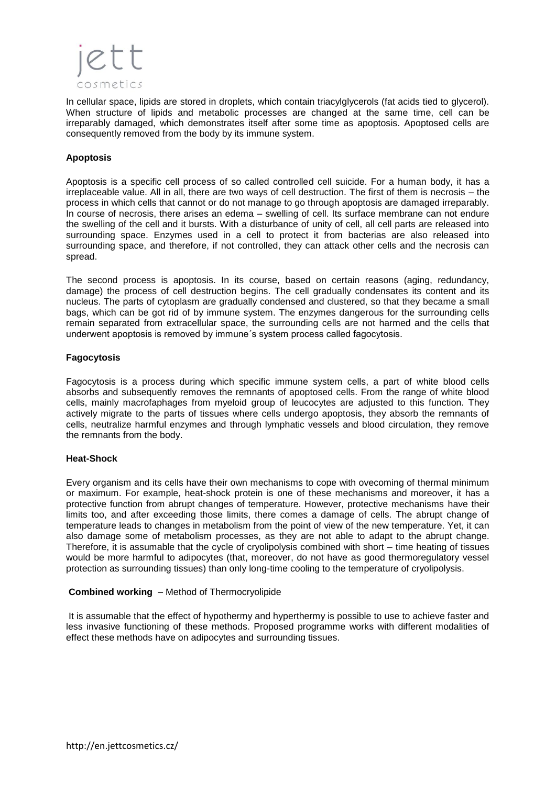

In cellular space, lipids are stored in droplets, which contain triacylglycerols (fat acids tied to glycerol). When structure of lipids and metabolic processes are changed at the same time, cell can be irreparably damaged, which demonstrates itself after some time as apoptosis. Apoptosed cells are consequently removed from the body by its immune system.

# **Apoptosis**

Apoptosis is a specific cell process of so called controlled cell suicide. For a human body, it has a irreplaceable value. All in all, there are two ways of cell destruction. The first of them is necrosis – the process in which cells that cannot or do not manage to go through apoptosis are damaged irreparably. In course of necrosis, there arises an edema – swelling of cell. Its surface membrane can not endure the swelling of the cell and it bursts. With a disturbance of unity of cell, all cell parts are released into surrounding space. Enzymes used in a cell to protect it from bacterias are also released into surrounding space, and therefore, if not controlled, they can attack other cells and the necrosis can spread.

The second process is apoptosis. In its course, based on certain reasons (aging, redundancy, damage) the process of cell destruction begins. The cell gradually condensates its content and its nucleus. The parts of cytoplasm are gradually condensed and clustered, so that they became a small bags, which can be got rid of by immune system. The enzymes dangerous for the surrounding cells remain separated from extracellular space, the surrounding cells are not harmed and the cells that underwent apoptosis is removed by immune´s system process called fagocytosis.

# **Fagocytosis**

Fagocytosis is a process during which specific immune system cells, a part of white blood cells absorbs and subsequently removes the remnants of apoptosed cells. From the range of white blood cells, mainly macrofaphages from myeloid group of leucocytes are adjusted to this function. They actively migrate to the parts of tissues where cells undergo apoptosis, they absorb the remnants of cells, neutralize harmful enzymes and through lymphatic vessels and blood circulation, they remove the remnants from the body.

# **Heat-Shock**

Every organism and its cells have their own mechanisms to cope with ovecoming of thermal minimum or maximum. For example, heat-shock protein is one of these mechanisms and moreover, it has a protective function from abrupt changes of temperature. However, protective mechanisms have their limits too, and after exceeding those limits, there comes a damage of cells. The abrupt change of temperature leads to changes in metabolism from the point of view of the new temperature. Yet, it can also damage some of metabolism processes, as they are not able to adapt to the abrupt change. Therefore, it is assumable that the cycle of cryolipolysis combined with short – time heating of tissues would be more harmful to adipocytes (that, moreover, do not have as good thermoregulatory vessel protection as surrounding tissues) than only long-time cooling to the temperature of cryolipolysis.

# **Combined working** – Method of Thermocryolipide

It is assumable that the effect of hypothermy and hyperthermy is possible to use to achieve faster and less invasive functioning of these methods. Proposed programme works with different modalities of effect these methods have on adipocytes and surrounding tissues.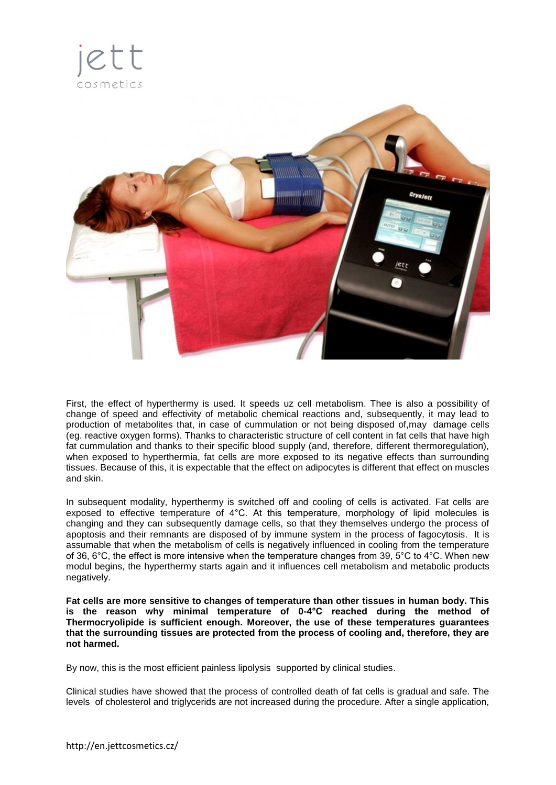



First, the effect of hyperthermy is used. It speeds uz cell metabolism. Thee is also a possibility of change of speed and effectivity of metabolic chemical reactions and, subsequently, it may lead to production of metabolites that, in case of cummulation or not being disposed of,may damage cells (eg. reactive oxygen forms). Thanks to characteristic structure of cell content in fat cells that have high fat cummulation and thanks to their specific blood supply (and, therefore, different thermoregulation), when exposed to hyperthermia, fat cells are more exposed to its negative effects than surrounding tissues. Because of this, it is expectable that the effect on adipocytes is different that effect on muscles and skin.

In subsequent modality, hyperthermy is switched off and cooling of cells is activated. Fat cells are exposed to effective temperature of 4°C. At this temperature, morphology of lipid molecules is changing and they can subsequently damage cells, so that they themselves undergo the process of apoptosis and their remnants are disposed of by immune system in the process of fagocytosis. It is assumable that when the metabolism of cells is negatively influenced in cooling from the temperature of 36, 6°C, the effect is more intensive when the temperature changes from 39, 5°C to 4°C. When new modul begins, the hyperthermy starts again and it influences cell metabolism and metabolic products negatively.

**Fat cells are more sensitive to changes of temperature than other tissues in human body. This is the reason why minimal temperature of 0-4°C reached during the method of Thermocryolipide is sufficient enough. Moreover, the use of these temperatures guarantees that the surrounding tissues are protected from the process of cooling and, therefore, they are not harmed.** 

By now, this is the most efficient painless lipolysis supported by clinical studies.

Clinical studies have showed that the process of controlled death of fat cells is gradual and safe. The levels of cholesterol and triglycerids are not increased during the procedure. After a single application,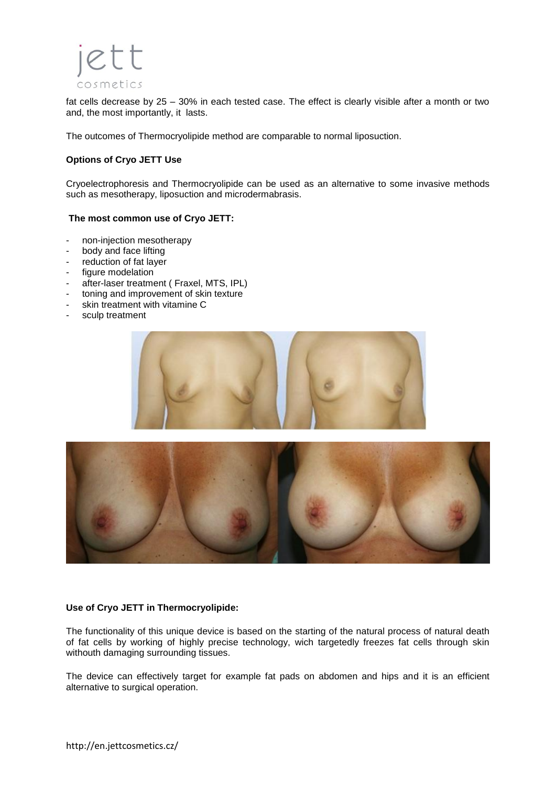

fat cells decrease by 25 – 30% in each tested case. The effect is clearly visible after a month or two and, the most importantly, it lasts.

The outcomes of Thermocryolipide method are comparable to normal liposuction.

# **Options of Cryo JETT Use**

Cryoelectrophoresis and Thermocryolipide can be used as an alternative to some invasive methods such as mesotherapy, liposuction and microdermabrasis.

#### **The most common use of Cryo JETT:**

- non-injection mesotherapy
- body and face lifting
- reduction of fat layer
- figure modelation
- after-laser treatment ( Fraxel, MTS, IPL)
- toning and improvement of skin texture
- skin treatment with vitamine C
- sculp treatment





#### **Use of Cryo JETT in Thermocryolipide:**

The functionality of this unique device is based on the starting of the natural process of natural death of fat cells by working of highly precise technology, wich targetedly freezes fat cells through skin withouth damaging surrounding tissues.

The device can effectively target for example fat pads on abdomen and hips and it is an efficient alternative to surgical operation.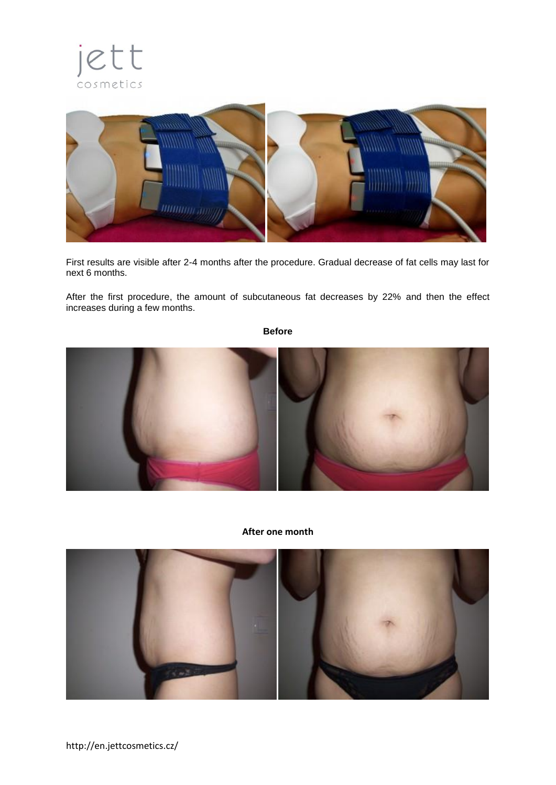



First results are visible after 2-4 months after the procedure. Gradual decrease of fat cells may last for next 6 months.

After the first procedure, the amount of subcutaneous fat decreases by 22% and then the effect increases during a few months.

**Before**



# **After one month**

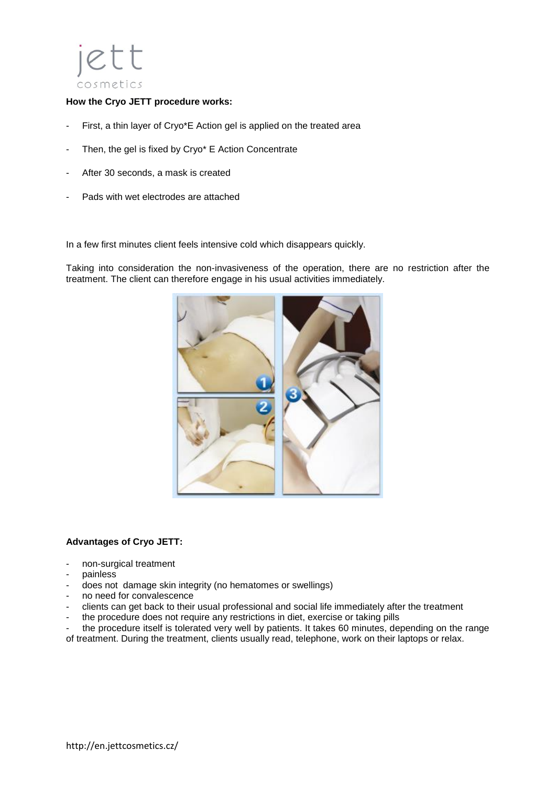

# **How the Cryo JETT procedure works:**

- First, a thin layer of Cryo\*E Action gel is applied on the treated area
- Then, the gel is fixed by Cryo\* E Action Concentrate
- After 30 seconds, a mask is created
- Pads with wet electrodes are attached

In a few first minutes client feels intensive cold which disappears quickly.

Taking into consideration the non-invasiveness of the operation, there are no restriction after the treatment. The client can therefore engage in his usual activities immediately.



#### **Advantages of Cryo JETT:**

- non-surgical treatment
- painless
- does not damage skin integrity (no hematomes or swellings)
- no need for convalescence
- clients can get back to their usual professional and social life immediately after the treatment
- the procedure does not require any restrictions in diet, exercise or taking pills

the procedure itself is tolerated very well by patients. It takes 60 minutes, depending on the range of treatment. During the treatment, clients usually read, telephone, work on their laptops or relax.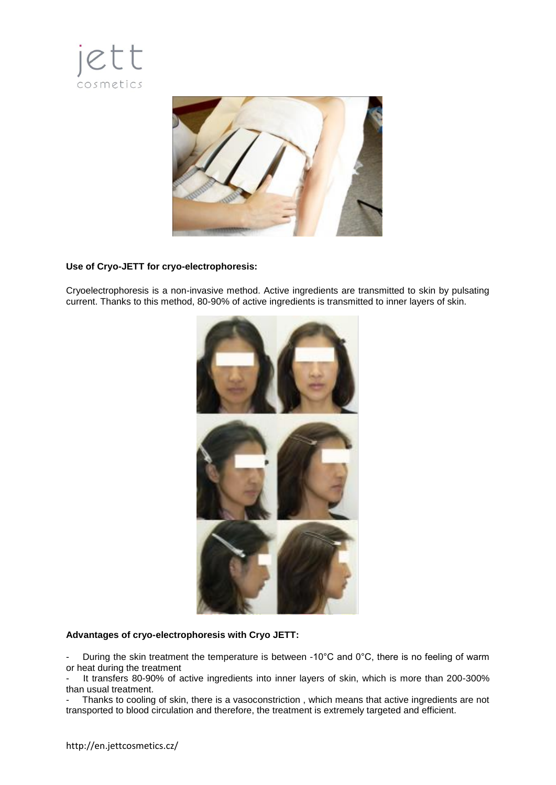



# **Use of Cryo-JETT for cryo-electrophoresis:**

Cryoelectrophoresis is a non-invasive method. Active ingredients are transmitted to skin by pulsating current. Thanks to this method, 80-90% of active ingredients is transmitted to inner layers of skin.



# **Advantages of cryo-electrophoresis with Cryo JETT:**

During the skin treatment the temperature is between -10°C and 0°C, there is no feeling of warm or heat during the treatment

It transfers 80-90% of active ingredients into inner layers of skin, which is more than 200-300% than usual treatment.

Thanks to cooling of skin, there is a vasoconstriction, which means that active ingredients are not transported to blood circulation and therefore, the treatment is extremely targeted and efficient.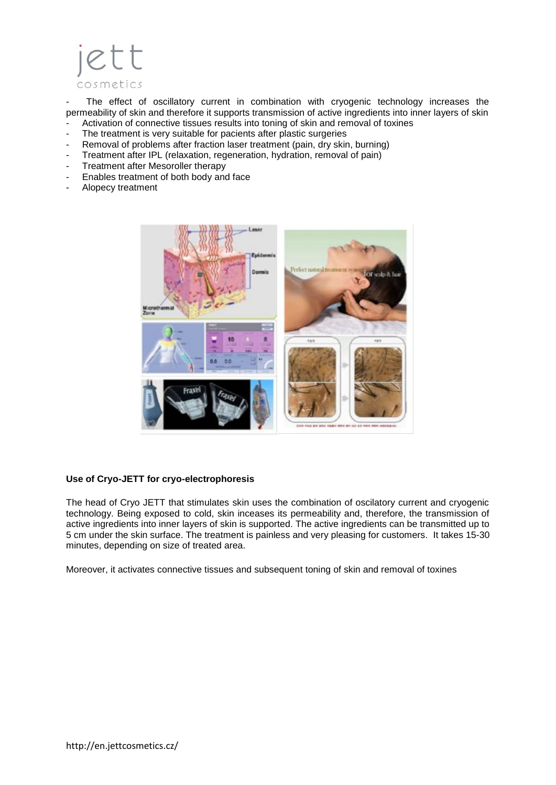

The effect of oscillatory current in combination with cryogenic technology increases the permeability of skin and therefore it supports transmission of active ingredients into inner layers of skin - Activation of connective tissues results into toning of skin and removal of toxines

- The treatment is very suitable for pacients after plastic surgeries
- Removal of problems after fraction laser treatment (pain, dry skin, burning)
- Treatment after IPL (relaxation, regeneration, hydration, removal of pain)
- Treatment after Mesoroller therapy
- Enables treatment of both body and face
- Alopecy treatment



#### **Use of Cryo-JETT for cryo-electrophoresis**

The head of Cryo JETT that stimulates skin uses the combination of oscilatory current and cryogenic technology. Being exposed to cold, skin inceases its permeability and, therefore, the transmission of active ingredients into inner layers of skin is supported. The active ingredients can be transmitted up to 5 cm under the skin surface. The treatment is painless and very pleasing for customers. It takes 15-30 minutes, depending on size of treated area.

Moreover, it activates connective tissues and subsequent toning of skin and removal of toxines